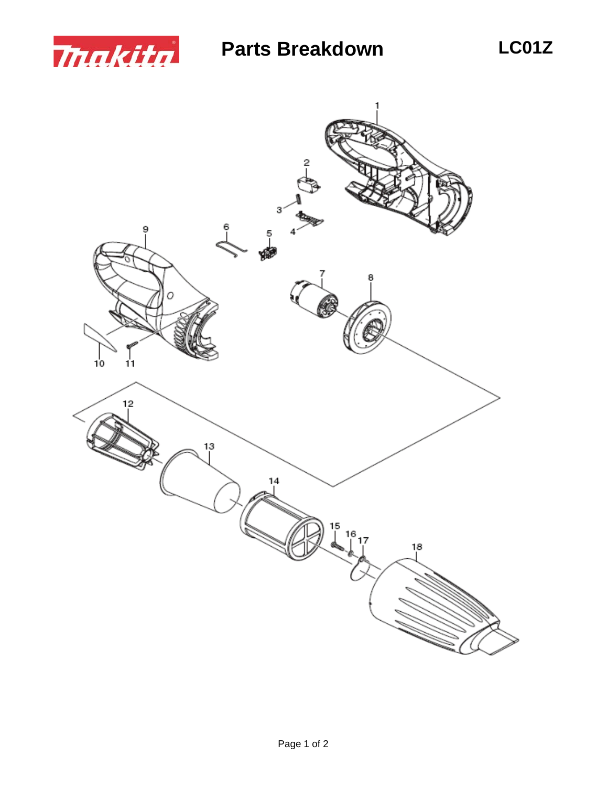